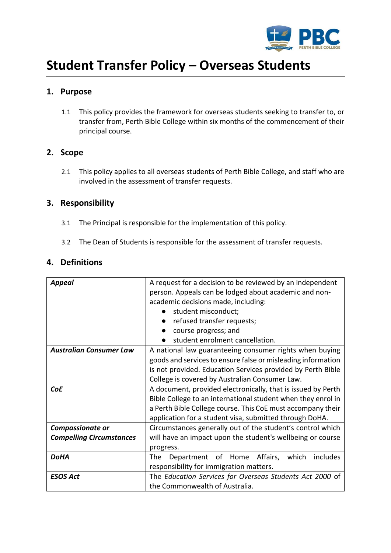

# **Student Transfer Policy – Overseas Students**

# **1. Purpose**

1.1 This policy provides the framework for overseas students seeking to transfer to, or transfer from, Perth Bible College within six months of the commencement of their principal course.

## **2. Scope**

2.1 This policy applies to all overseas students of Perth Bible College, and staff who are involved in the assessment of transfer requests.

# **3. Responsibility**

- 3.1 The Principal is responsible for the implementation of this policy.
- 3.2 The Dean of Students is responsible for the assessment of transfer requests.

# **4. Definitions**

| Appeal                          | A request for a decision to be reviewed by an independent    |  |  |
|---------------------------------|--------------------------------------------------------------|--|--|
|                                 | person. Appeals can be lodged about academic and non-        |  |  |
|                                 | academic decisions made, including:                          |  |  |
|                                 | student misconduct;                                          |  |  |
|                                 | refused transfer requests;                                   |  |  |
|                                 | course progress; and                                         |  |  |
|                                 | student enrolment cancellation.                              |  |  |
| <b>Australian Consumer Law</b>  | A national law guaranteeing consumer rights when buying      |  |  |
|                                 | goods and services to ensure false or misleading information |  |  |
|                                 | is not provided. Education Services provided by Perth Bible  |  |  |
|                                 | College is covered by Australian Consumer Law.               |  |  |
| <b>CoE</b>                      | A document, provided electronically, that is issued by Perth |  |  |
|                                 | Bible College to an international student when they enrol in |  |  |
|                                 | a Perth Bible College course. This CoE must accompany their  |  |  |
|                                 | application for a student visa, submitted through DoHA.      |  |  |
| <b>Compassionate or</b>         | Circumstances generally out of the student's control which   |  |  |
| <b>Compelling Circumstances</b> | will have an impact upon the student's wellbeing or course   |  |  |
|                                 | progress.                                                    |  |  |
| <b>DoHA</b>                     | Affairs,<br>includes<br>Department of Home<br>which<br>The   |  |  |
|                                 | responsibility for immigration matters.                      |  |  |
| <b>ESOS Act</b>                 | The Education Services for Overseas Students Act 2000 of     |  |  |
|                                 | the Commonwealth of Australia.                               |  |  |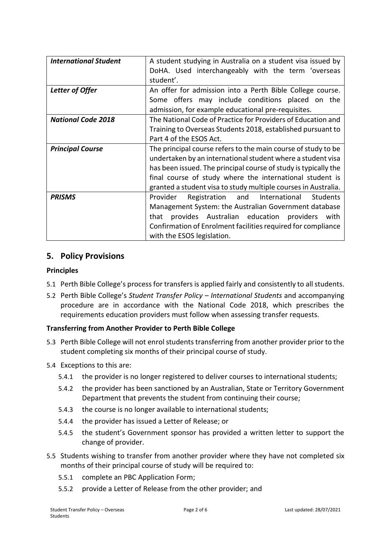| <b>International Student</b> | A student studying in Australia on a student visa issued by     |  |  |
|------------------------------|-----------------------------------------------------------------|--|--|
|                              | DoHA. Used interchangeably with the term 'overseas              |  |  |
|                              | student'.                                                       |  |  |
|                              |                                                                 |  |  |
| Letter of Offer              | An offer for admission into a Perth Bible College course.       |  |  |
|                              | Some offers may include conditions placed on the                |  |  |
|                              | admission, for example educational pre-requisites.              |  |  |
| <b>National Code 2018</b>    | The National Code of Practice for Providers of Education and    |  |  |
|                              | Training to Overseas Students 2018, established pursuant to     |  |  |
|                              | Part 4 of the ESOS Act.                                         |  |  |
| <b>Principal Course</b>      | The principal course refers to the main course of study to be   |  |  |
|                              | undertaken by an international student where a student visa     |  |  |
|                              | has been issued. The principal course of study is typically the |  |  |
|                              | final course of study where the international student is        |  |  |
|                              | granted a student visa to study multiple courses in Australia.  |  |  |
| <b>PRISMS</b>                | Registration and International<br>Students<br>Provider          |  |  |
|                              | Management System: the Australian Government database           |  |  |
|                              | provides Australian education providers<br>that<br>with         |  |  |
|                              | Confirmation of Enrolment facilities required for compliance    |  |  |
|                              | with the ESOS legislation.                                      |  |  |

# **5. Policy Provisions**

## **Principles**

- 5.1 Perth Bible College's process for transfers is applied fairly and consistently to all students.
- 5.2 Perth Bible College's *Student Transfer Policy – International Students* and accompanying procedure are in accordance with the National Code 2018, which prescribes the requirements education providers must follow when assessing transfer requests.

## **Transferring from Another Provider to Perth Bible College**

- 5.3 Perth Bible College will not enrol students transferring from another provider prior to the student completing six months of their principal course of study.
- 5.4 Exceptions to this are:
	- 5.4.1 the provider is no longer registered to deliver courses to international students;
	- 5.4.2 the provider has been sanctioned by an Australian, State or Territory Government Department that prevents the student from continuing their course;
	- 5.4.3 the course is no longer available to international students;
	- 5.4.4 the provider has issued a Letter of Release; or
	- 5.4.5 the student's Government sponsor has provided a written letter to support the change of provider.
- 5.5 Students wishing to transfer from another provider where they have not completed six months of their principal course of study will be required to:
	- 5.5.1 complete an PBC Application Form;
	- 5.5.2 provide a Letter of Release from the other provider; and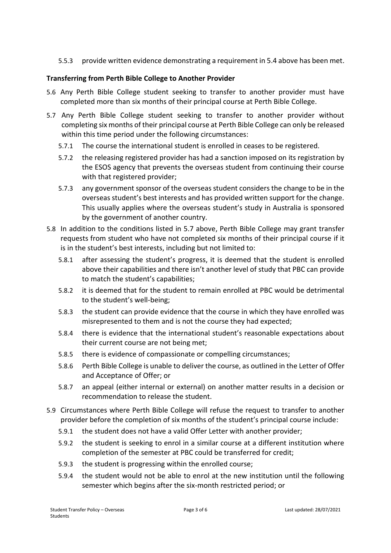5.5.3 provide written evidence demonstrating a requirement in 5.4 above has been met.

## **Transferring from Perth Bible College to Another Provider**

- 5.6 Any Perth Bible College student seeking to transfer to another provider must have completed more than six months of their principal course at Perth Bible College.
- 5.7 Any Perth Bible College student seeking to transfer to another provider without completing six months of their principal course at Perth Bible College can only be released within this time period under the following circumstances:
	- 5.7.1 The course the international student is enrolled in ceases to be registered.
	- 5.7.2 the releasing registered provider has had a sanction imposed on its registration by the ESOS agency that prevents the overseas student from continuing their course with that registered provider;
	- 5.7.3 any government sponsor of the overseas student considers the change to be in the overseas student's best interests and has provided written support for the change. This usually applies where the overseas student's study in Australia is sponsored by the government of another country.
- 5.8 In addition to the conditions listed in 5.7 above, Perth Bible College may grant transfer requests from student who have not completed six months of their principal course if it is in the student's best interests, including but not limited to:
	- 5.8.1 after assessing the student's progress, it is deemed that the student is enrolled above their capabilities and there isn't another level of study that PBC can provide to match the student's capabilities;
	- 5.8.2 it is deemed that for the student to remain enrolled at PBC would be detrimental to the student's well-being;
	- 5.8.3 the student can provide evidence that the course in which they have enrolled was misrepresented to them and is not the course they had expected;
	- 5.8.4 there is evidence that the international student's reasonable expectations about their current course are not being met;
	- 5.8.5 there is evidence of compassionate or compelling circumstances;
	- 5.8.6 Perth Bible College is unable to deliver the course, as outlined in the Letter of Offer and Acceptance of Offer; or
	- 5.8.7 an appeal (either internal or external) on another matter results in a decision or recommendation to release the student.
- 5.9 Circumstances where Perth Bible College will refuse the request to transfer to another provider before the completion of six months of the student's principal course include:
	- 5.9.1 the student does not have a valid Offer Letter with another provider;
	- 5.9.2 the student is seeking to enrol in a similar course at a different institution where completion of the semester at PBC could be transferred for credit;
	- 5.9.3 the student is progressing within the enrolled course;
	- 5.9.4 the student would not be able to enrol at the new institution until the following semester which begins after the six-month restricted period; or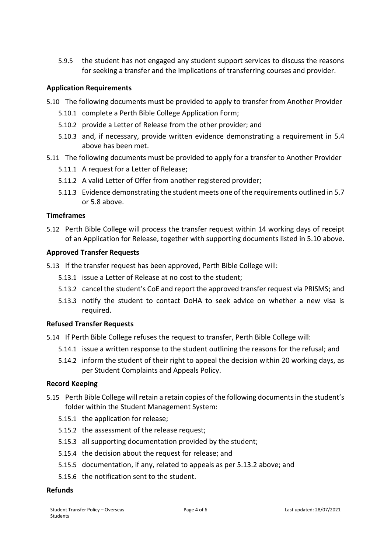5.9.5 the student has not engaged any student support services to discuss the reasons for seeking a transfer and the implications of transferring courses and provider.

#### **Application Requirements**

- 5.10 The following documents must be provided to apply to transfer from Another Provider
	- 5.10.1 complete a Perth Bible College Application Form;
	- 5.10.2 provide a Letter of Release from the other provider; and
	- 5.10.3 and, if necessary, provide written evidence demonstrating a requirement in 5.4 above has been met.
- 5.11 The following documents must be provided to apply for a transfer to Another Provider
	- 5.11.1 A request for a Letter of Release;
	- 5.11.2 A valid Letter of Offer from another registered provider;
	- 5.11.3 Evidence demonstrating the student meets one of the requirements outlined in 5.7 or 5.8 above.

#### **Timeframes**

5.12 Perth Bible College will process the transfer request within 14 working days of receipt of an Application for Release, together with supporting documents listed in 5.10 above.

#### **Approved Transfer Requests**

- 5.13 If the transfer request has been approved, Perth Bible College will:
	- 5.13.1 issue a Letter of Release at no cost to the student;
	- 5.13.2 cancel the student's CoE and report the approved transfer request via PRISMS; and
	- 5.13.3 notify the student to contact DoHA to seek advice on whether a new visa is required.

#### **Refused Transfer Requests**

5.14 If Perth Bible College refuses the request to transfer, Perth Bible College will:

- 5.14.1 issue a written response to the student outlining the reasons for the refusal; and
- 5.14.2 inform the student of their right to appeal the decision within 20 working days, as per Student Complaints and Appeals Policy.

#### **Record Keeping**

- 5.15 Perth Bible College will retain a retain copies of the following documents in the student's folder within the Student Management System:
	- 5.15.1 the application for release;
	- 5.15.2 the assessment of the release request;
	- 5.15.3 all supporting documentation provided by the student;
	- 5.15.4 the decision about the request for release; and
	- 5.15.5 documentation, if any, related to appeals as per 5.13.2 above; and
	- 5.15.6 the notification sent to the student.

#### **Refunds**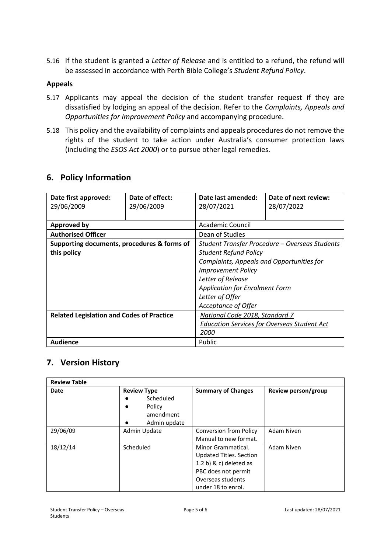5.16 If the student is granted a *Letter of Release* and is entitled to a refund, the refund will be assessed in accordance with Perth Bible College's *Student Refund Policy*.

#### **Appeals**

- 5.17 Applicants may appeal the decision of the student transfer request if they are dissatisfied by lodging an appeal of the decision. Refer to the *Complaints, Appeals and Opportunities for Improvement Policy* and accompanying procedure.
- 5.18 This policy and the availability of complaints and appeals procedures do not remove the rights of the student to take action under Australia's consumer protection laws (including the *ESOS Act 2000*) or to pursue other legal remedies.

# **6. Policy Information**

| Date first approved:<br>29/06/2009               | Date of effect:<br>29/06/2009 | Date last amended:<br>28/07/2021                   | Date of next review:<br>28/07/2022 |
|--------------------------------------------------|-------------------------------|----------------------------------------------------|------------------------------------|
|                                                  |                               |                                                    |                                    |
| <b>Approved by</b>                               |                               | Academic Council                                   |                                    |
| <b>Authorised Officer</b>                        |                               | Dean of Studies                                    |                                    |
| Supporting documents, procedures & forms of      |                               | Student Transfer Procedure - Overseas Students     |                                    |
| this policy                                      |                               | <b>Student Refund Policy</b>                       |                                    |
|                                                  |                               | Complaints, Appeals and Opportunities for          |                                    |
|                                                  |                               | <b>Improvement Policy</b>                          |                                    |
|                                                  |                               | Letter of Release                                  |                                    |
|                                                  |                               | <b>Application for Enrolment Form</b>              |                                    |
|                                                  |                               | Letter of Offer                                    |                                    |
|                                                  |                               | Acceptance of Offer                                |                                    |
| <b>Related Legislation and Codes of Practice</b> |                               | National Code 2018, Standard 7                     |                                    |
|                                                  |                               | <b>Education Services for Overseas Student Act</b> |                                    |
|                                                  |                               | <i>2000</i>                                        |                                    |
| <b>Audience</b>                                  |                               | Public                                             |                                    |

# **7. Version History**

| <b>Review Table</b> |                     |                           |                     |  |  |
|---------------------|---------------------|---------------------------|---------------------|--|--|
| Date                | <b>Review Type</b>  | <b>Summary of Changes</b> | Review person/group |  |  |
|                     | Scheduled           |                           |                     |  |  |
|                     | Policy<br>amendment |                           |                     |  |  |
|                     |                     |                           |                     |  |  |
|                     | Admin update        |                           |                     |  |  |
| 29/06/09            | Admin Update        | Conversion from Policy    | Adam Niven          |  |  |
|                     |                     | Manual to new format.     |                     |  |  |
| 18/12/14            | Scheduled           | Minor Grammatical.        | Adam Niven          |  |  |
|                     |                     | Updated Titles. Section   |                     |  |  |
|                     |                     | $1.2 b)$ & c) deleted as  |                     |  |  |
|                     |                     | PBC does not permit       |                     |  |  |
|                     |                     | Overseas students         |                     |  |  |
|                     |                     | under 18 to enrol.        |                     |  |  |